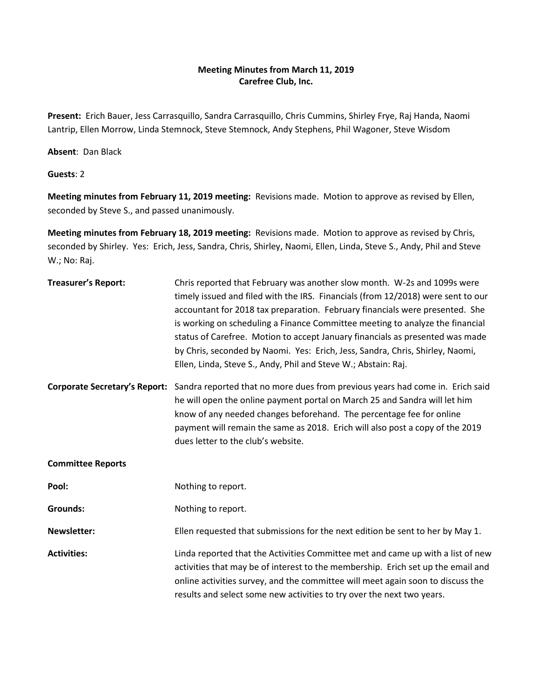## **Meeting Minutes from March 11, 2019 Carefree Club, Inc.**

**Present:** Erich Bauer, Jess Carrasquillo, Sandra Carrasquillo, Chris Cummins, Shirley Frye, Raj Handa, Naomi Lantrip, Ellen Morrow, Linda Stemnock, Steve Stemnock, Andy Stephens, Phil Wagoner, Steve Wisdom

**Absent**: Dan Black

**Guests**: 2

**Meeting minutes from February 11, 2019 meeting:** Revisions made. Motion to approve as revised by Ellen, seconded by Steve S., and passed unanimously.

**Meeting minutes from February 18, 2019 meeting:** Revisions made. Motion to approve as revised by Chris, seconded by Shirley. Yes: Erich, Jess, Sandra, Chris, Shirley, Naomi, Ellen, Linda, Steve S., Andy, Phil and Steve W.; No: Raj.

| <b>Treasurer's Report:</b> | Chris reported that February was another slow month. W-2s and 1099s were<br>timely issued and filed with the IRS. Financials (from 12/2018) were sent to our<br>accountant for 2018 tax preparation. February financials were presented. She<br>is working on scheduling a Finance Committee meeting to analyze the financial<br>status of Carefree. Motion to accept January financials as presented was made<br>by Chris, seconded by Naomi. Yes: Erich, Jess, Sandra, Chris, Shirley, Naomi,<br>Ellen, Linda, Steve S., Andy, Phil and Steve W.; Abstain: Raj. |
|----------------------------|-------------------------------------------------------------------------------------------------------------------------------------------------------------------------------------------------------------------------------------------------------------------------------------------------------------------------------------------------------------------------------------------------------------------------------------------------------------------------------------------------------------------------------------------------------------------|
|                            | Corporate Secretary's Report: Sandra reported that no more dues from previous years had come in. Erich said<br>he will open the online payment portal on March 25 and Sandra will let him<br>know of any needed changes beforehand. The percentage fee for online<br>payment will remain the same as 2018. Erich will also post a copy of the 2019<br>dues letter to the club's website.                                                                                                                                                                          |
| <b>Committee Reports</b>   |                                                                                                                                                                                                                                                                                                                                                                                                                                                                                                                                                                   |
| Pool:                      | Nothing to report.                                                                                                                                                                                                                                                                                                                                                                                                                                                                                                                                                |
| <b>Grounds:</b>            | Nothing to report.                                                                                                                                                                                                                                                                                                                                                                                                                                                                                                                                                |
| <b>Newsletter:</b>         | Ellen requested that submissions for the next edition be sent to her by May 1.                                                                                                                                                                                                                                                                                                                                                                                                                                                                                    |
| <b>Activities:</b>         | Linda reported that the Activities Committee met and came up with a list of new<br>activities that may be of interest to the membership. Erich set up the email and<br>online activities survey, and the committee will meet again soon to discuss the<br>results and select some new activities to try over the next two years.                                                                                                                                                                                                                                  |